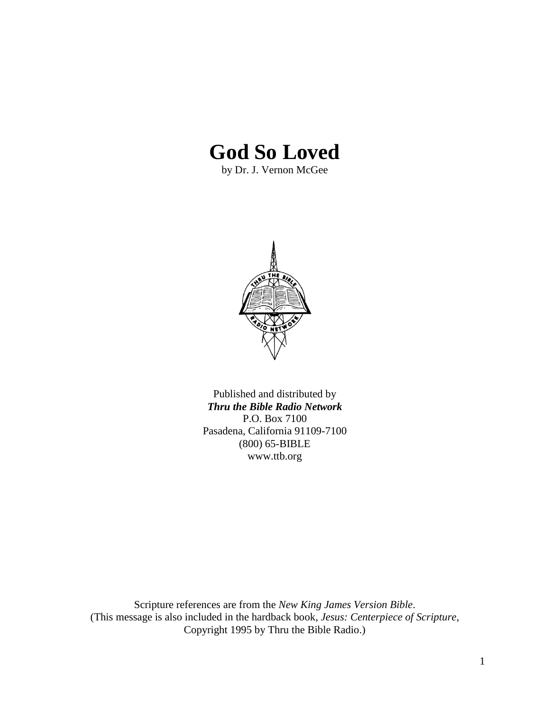# **God So Loved**

by Dr. J. Vernon McGee



Published and distributed by *Thru the Bible Radio Network* P.O. Box 7100 Pasadena, California 91109-7100 (800) 65-BIBLE www.ttb.org

Scripture references are from the *New King James Version Bible*. (This message is also included in the hardback book, *Jesus: Centerpiece of Scripture*, Copyright 1995 by Thru the Bible Radio.)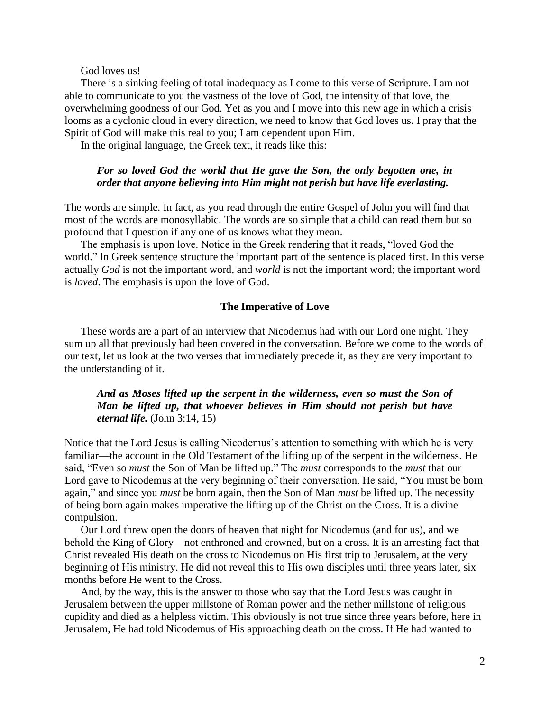God loves us!

There is a sinking feeling of total inadequacy as I come to this verse of Scripture. I am not able to communicate to you the vastness of the love of God, the intensity of that love, the overwhelming goodness of our God. Yet as you and I move into this new age in which a crisis looms as a cyclonic cloud in every direction, we need to know that God loves us. I pray that the Spirit of God will make this real to you; I am dependent upon Him.

In the original language, the Greek text, it reads like this:

### *For so loved God the world that He gave the Son, the only begotten one, in order that anyone believing into Him might not perish but have life everlasting.*

The words are simple. In fact, as you read through the entire Gospel of John you will find that most of the words are monosyllabic. The words are so simple that a child can read them but so profound that I question if any one of us knows what they mean.

The emphasis is upon love. Notice in the Greek rendering that it reads, "loved God the world." In Greek sentence structure the important part of the sentence is placed first. In this verse actually *God* is not the important word, and *world* is not the important word; the important word is *loved*. The emphasis is upon the love of God.

#### **The Imperative of Love**

These words are a part of an interview that Nicodemus had with our Lord one night. They sum up all that previously had been covered in the conversation. Before we come to the words of our text, let us look at the two verses that immediately precede it, as they are very important to the understanding of it.

# *And as Moses lifted up the serpent in the wilderness, even so must the Son of Man be lifted up, that whoever believes in Him should not perish but have eternal life.* (John 3:14, 15)

Notice that the Lord Jesus is calling Nicodemus's attention to something with which he is very familiar—the account in the Old Testament of the lifting up of the serpent in the wilderness. He said, "Even so *must* the Son of Man be lifted up." The *must* corresponds to the *must* that our Lord gave to Nicodemus at the very beginning of their conversation. He said, "You must be born again," and since you *must* be born again, then the Son of Man *must* be lifted up. The necessity of being born again makes imperative the lifting up of the Christ on the Cross. It is a divine compulsion.

Our Lord threw open the doors of heaven that night for Nicodemus (and for us), and we behold the King of Glory—not enthroned and crowned, but on a cross. It is an arresting fact that Christ revealed His death on the cross to Nicodemus on His first trip to Jerusalem, at the very beginning of His ministry. He did not reveal this to His own disciples until three years later, six months before He went to the Cross.

And, by the way, this is the answer to those who say that the Lord Jesus was caught in Jerusalem between the upper millstone of Roman power and the nether millstone of religious cupidity and died as a helpless victim. This obviously is not true since three years before, here in Jerusalem, He had told Nicodemus of His approaching death on the cross. If He had wanted to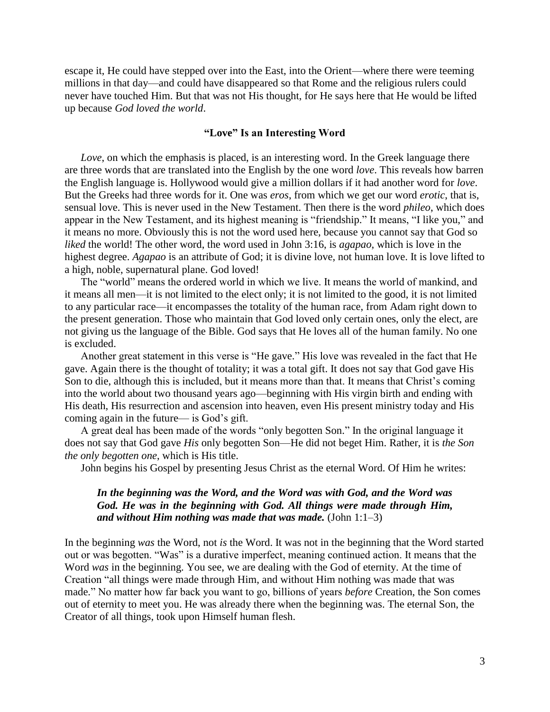escape it, He could have stepped over into the East, into the Orient—where there were teeming millions in that day—and could have disappeared so that Rome and the religious rulers could never have touched Him. But that was not His thought, for He says here that He would be lifted up because *God loved the world*.

#### **"Love" Is an Interesting Word**

*Love*, on which the emphasis is placed, is an interesting word. In the Greek language there are three words that are translated into the English by the one word *love*. This reveals how barren the English language is. Hollywood would give a million dollars if it had another word for *love*. But the Greeks had three words for it. One was *eros*, from which we get our word *erotic*, that is, sensual love. This is never used in the New Testament. Then there is the word *phileo*, which does appear in the New Testament, and its highest meaning is "friendship." It means, "I like you," and it means no more. Obviously this is not the word used here, because you cannot say that God so *liked* the world! The other word, the word used in John 3:16, is *agapao*, which is love in the highest degree. *Agapao* is an attribute of God; it is divine love, not human love. It is love lifted to a high, noble, supernatural plane. God loved!

The "world" means the ordered world in which we live. It means the world of mankind, and it means all men—it is not limited to the elect only; it is not limited to the good, it is not limited to any particular race—it encompasses the totality of the human race, from Adam right down to the present generation. Those who maintain that God loved only certain ones, only the elect, are not giving us the language of the Bible. God says that He loves all of the human family. No one is excluded.

Another great statement in this verse is "He gave." His love was revealed in the fact that He gave. Again there is the thought of totality; it was a total gift. It does not say that God gave His Son to die, although this is included, but it means more than that. It means that Christ's coming into the world about two thousand years ago—beginning with His virgin birth and ending with His death, His resurrection and ascension into heaven, even His present ministry today and His coming again in the future— is God's gift.

A great deal has been made of the words "only begotten Son." In the original language it does not say that God gave *His* only begotten Son—He did not beget Him. Rather, it is *the Son the only begotten one*, which is His title.

John begins his Gospel by presenting Jesus Christ as the eternal Word. Of Him he writes:

## *In the beginning was the Word, and the Word was with God, and the Word was God. He was in the beginning with God. All things were made through Him, and without Him nothing was made that was made.* (John 1:1–3)

In the beginning *was* the Word, not *is* the Word. It was not in the beginning that the Word started out or was begotten. "Was" is a durative imperfect, meaning continued action. It means that the Word *was* in the beginning. You see, we are dealing with the God of eternity. At the time of Creation "all things were made through Him, and without Him nothing was made that was made.‖ No matter how far back you want to go, billions of years *before* Creation, the Son comes out of eternity to meet you. He was already there when the beginning was. The eternal Son, the Creator of all things, took upon Himself human flesh.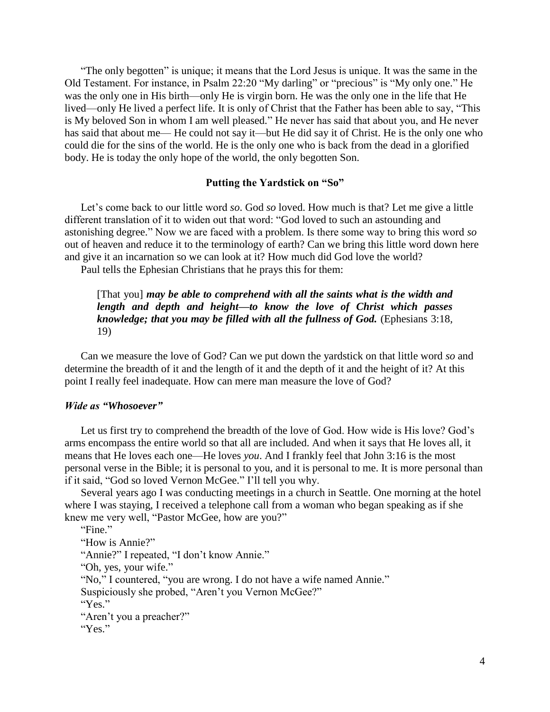"The only begotten" is unique; it means that the Lord Jesus is unique. It was the same in the Old Testament. For instance, in Psalm 22:20 "My darling" or "precious" is "My only one." He was the only one in His birth—only He is virgin born. He was the only one in the life that He lived—only He lived a perfect life. It is only of Christ that the Father has been able to say, "This is My beloved Son in whom I am well pleased." He never has said that about you, and He never has said that about me— He could not say it—but He did say it of Christ. He is the only one who could die for the sins of the world. He is the only one who is back from the dead in a glorified body. He is today the only hope of the world, the only begotten Son.

#### **Putting the Yardstick on "So"**

Let's come back to our little word *so*. God *so* loved. How much is that? Let me give a little different translation of it to widen out that word: "God loved to such an astounding and astonishing degree.‖ Now we are faced with a problem. Is there some way to bring this word *so* out of heaven and reduce it to the terminology of earth? Can we bring this little word down here and give it an incarnation so we can look at it? How much did God love the world?

Paul tells the Ephesian Christians that he prays this for them:

# [That you] *may be able to comprehend with all the saints what is the width and length and depth and height—to know the love of Christ which passes knowledge; that you may be filled with all the fullness of God.* (Ephesians 3:18, 19)

Can we measure the love of God? Can we put down the yardstick on that little word *so* and determine the breadth of it and the length of it and the depth of it and the height of it? At this point I really feel inadequate. How can mere man measure the love of God?

#### *Wide as "Whosoever"*

Let us first try to comprehend the breadth of the love of God. How wide is His love? God's arms encompass the entire world so that all are included. And when it says that He loves all, it means that He loves each one—He loves *you*. And I frankly feel that John 3:16 is the most personal verse in the Bible; it is personal to you, and it is personal to me. It is more personal than if it said, "God so loved Vernon McGee." I'll tell you why.

Several years ago I was conducting meetings in a church in Seattle. One morning at the hotel where I was staying, I received a telephone call from a woman who began speaking as if she knew me very well, "Pastor McGee, how are you?"

"Fine." "How is Annie?" "Annie?" I repeated, "I don't know Annie." "Oh, yes, your wife." "No," I countered, "you are wrong. I do not have a wife named Annie." Suspiciously she probed, "Aren't you Vernon McGee?" "Yes." "Aren't you a preacher?" "Yes."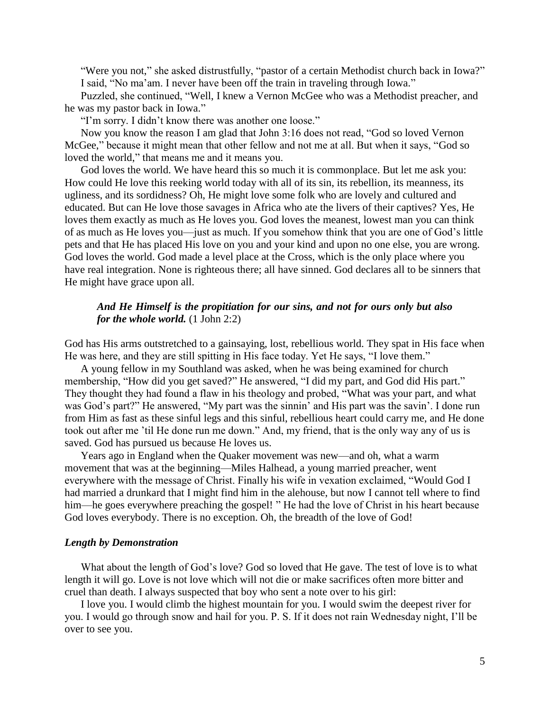"Were you not," she asked distrustfully, "pastor of a certain Methodist church back in Iowa?" I said, "No ma'am. I never have been off the train in traveling through Iowa."

Puzzled, she continued, "Well, I knew a Vernon McGee who was a Methodist preacher, and he was my pastor back in Iowa."

"I'm sorry. I didn't know there was another one loose."

Now you know the reason I am glad that John 3:16 does not read, "God so loved Vernon" McGee," because it might mean that other fellow and not me at all. But when it says, "God so loved the world," that means me and it means you.

God loves the world. We have heard this so much it is commonplace. But let me ask you: How could He love this reeking world today with all of its sin, its rebellion, its meanness, its ugliness, and its sordidness? Oh, He might love some folk who are lovely and cultured and educated. But can He love those savages in Africa who ate the livers of their captives? Yes, He loves them exactly as much as He loves you. God loves the meanest, lowest man you can think of as much as He loves you—just as much. If you somehow think that you are one of God's little pets and that He has placed His love on you and your kind and upon no one else, you are wrong. God loves the world. God made a level place at the Cross, which is the only place where you have real integration. None is righteous there; all have sinned. God declares all to be sinners that He might have grace upon all.

## *And He Himself is the propitiation for our sins, and not for ours only but also for the whole world.* (1 John 2:2)

God has His arms outstretched to a gainsaying, lost, rebellious world. They spat in His face when He was here, and they are still spitting in His face today. Yet He says, "I love them."

A young fellow in my Southland was asked, when he was being examined for church membership, "How did you get saved?" He answered, "I did my part, and God did His part." They thought they had found a flaw in his theology and probed, "What was your part, and what was God's part?" He answered, "My part was the sinnin' and His part was the savin'. I done run from Him as fast as these sinful legs and this sinful, rebellious heart could carry me, and He done took out after me 'til He done run me down." And, my friend, that is the only way any of us is saved. God has pursued us because He loves us.

Years ago in England when the Quaker movement was new—and oh, what a warm movement that was at the beginning—Miles Halhead, a young married preacher, went everywhere with the message of Christ. Finally his wife in vexation exclaimed, "Would God I had married a drunkard that I might find him in the alehouse, but now I cannot tell where to find him—he goes everywhere preaching the gospel! "He had the love of Christ in his heart because God loves everybody. There is no exception. Oh, the breadth of the love of God!

#### *Length by Demonstration*

What about the length of God's love? God so loved that He gave. The test of love is to what length it will go. Love is not love which will not die or make sacrifices often more bitter and cruel than death. I always suspected that boy who sent a note over to his girl:

I love you. I would climb the highest mountain for you. I would swim the deepest river for you. I would go through snow and hail for you. P. S. If it does not rain Wednesday night, I'll be over to see you.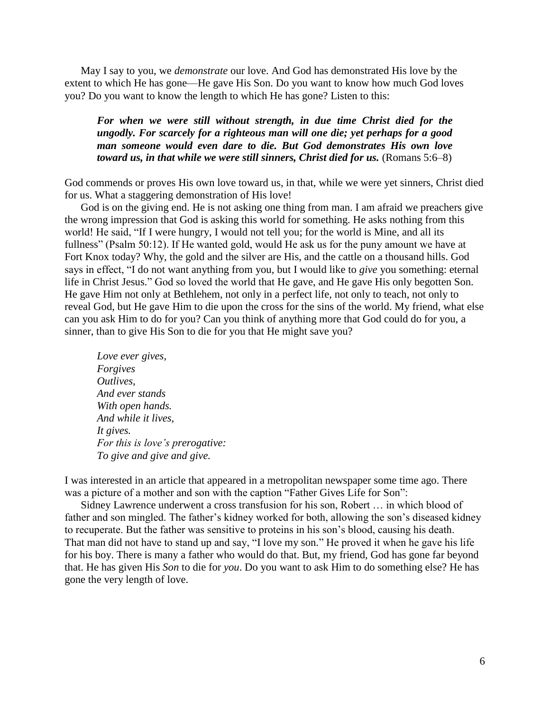May I say to you, we *demonstrate* our love. And God has demonstrated His love by the extent to which He has gone—He gave His Son. Do you want to know how much God loves you? Do you want to know the length to which He has gone? Listen to this:

*For when we were still without strength, in due time Christ died for the ungodly. For scarcely for a righteous man will one die; yet perhaps for a good man someone would even dare to die. But God demonstrates His own love toward us, in that while we were still sinners, Christ died for us.* (Romans 5:6–8)

God commends or proves His own love toward us, in that, while we were yet sinners, Christ died for us. What a staggering demonstration of His love!

God is on the giving end. He is not asking one thing from man. I am afraid we preachers give the wrong impression that God is asking this world for something. He asks nothing from this world! He said, "If I were hungry, I would not tell you; for the world is Mine, and all its fullness" (Psalm 50:12). If He wanted gold, would He ask us for the puny amount we have at Fort Knox today? Why, the gold and the silver are His, and the cattle on a thousand hills. God says in effect, "I do not want anything from you, but I would like to *give* you something: eternal life in Christ Jesus." God so loved the world that He gave, and He gave His only begotten Son. He gave Him not only at Bethlehem, not only in a perfect life, not only to teach, not only to reveal God, but He gave Him to die upon the cross for the sins of the world. My friend, what else can you ask Him to do for you? Can you think of anything more that God could do for you, a sinner, than to give His Son to die for you that He might save you?

*Love ever gives, Forgives Outlives, And ever stands With open hands. And while it lives, It gives. For this is love's prerogative: To give and give and give.*

I was interested in an article that appeared in a metropolitan newspaper some time ago. There was a picture of a mother and son with the caption "Father Gives Life for Son":

Sidney Lawrence underwent a cross transfusion for his son, Robert … in which blood of father and son mingled. The father's kidney worked for both, allowing the son's diseased kidney to recuperate. But the father was sensitive to proteins in his son's blood, causing his death. That man did not have to stand up and say, "I love my son." He proved it when he gave his life for his boy. There is many a father who would do that. But, my friend, God has gone far beyond that. He has given His *Son* to die for *you*. Do you want to ask Him to do something else? He has gone the very length of love.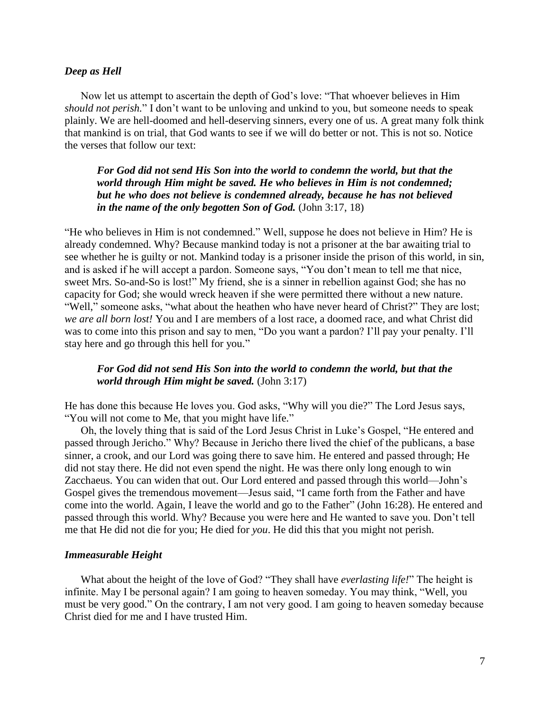#### *Deep as Hell*

Now let us attempt to ascertain the depth of God's love: "That whoever believes in Him *should not perish.*" I don't want to be unloving and unkind to you, but someone needs to speak plainly. We are hell-doomed and hell-deserving sinners, every one of us. A great many folk think that mankind is on trial, that God wants to see if we will do better or not. This is not so. Notice the verses that follow our text:

# *For God did not send His Son into the world to condemn the world, but that the world through Him might be saved. He who believes in Him is not condemned; but he who does not believe is condemned already, because he has not believed in the name of the only begotten Son of God.* (John 3:17, 18)

"He who believes in Him is not condemned." Well, suppose he does not believe in Him? He is already condemned. Why? Because mankind today is not a prisoner at the bar awaiting trial to see whether he is guilty or not. Mankind today is a prisoner inside the prison of this world, in sin, and is asked if he will accept a pardon. Someone says, "You don't mean to tell me that nice, sweet Mrs. So-and-So is lost!" My friend, she is a sinner in rebellion against God; she has no capacity for God; she would wreck heaven if she were permitted there without a new nature. "Well," someone asks, "what about the heathen who have never heard of Christ?" They are lost; *we are all born lost!* You and I are members of a lost race, a doomed race, and what Christ did was to come into this prison and say to men, "Do you want a pardon? I'll pay your penalty. I'll stay here and go through this hell for you."

## *For God did not send His Son into the world to condemn the world, but that the world through Him might be saved.* (John 3:17)

He has done this because He loves you. God asks, "Why will you die?" The Lord Jesus says, "You will not come to Me, that you might have life."

Oh, the lovely thing that is said of the Lord Jesus Christ in Luke's Gospel, "He entered and passed through Jericho." Why? Because in Jericho there lived the chief of the publicans, a base sinner, a crook, and our Lord was going there to save him. He entered and passed through; He did not stay there. He did not even spend the night. He was there only long enough to win Zacchaeus. You can widen that out. Our Lord entered and passed through this world—John's Gospel gives the tremendous movement—Jesus said, "I came forth from the Father and have come into the world. Again, I leave the world and go to the Father" (John 16:28). He entered and passed through this world. Why? Because you were here and He wanted to save you. Don't tell me that He did not die for you; He died for *you*. He did this that you might not perish.

#### *Immeasurable Height*

What about the height of the love of God? "They shall have *everlasting life!*" The height is infinite. May I be personal again? I am going to heaven someday. You may think, "Well, you must be very good." On the contrary, I am not very good. I am going to heaven someday because Christ died for me and I have trusted Him.